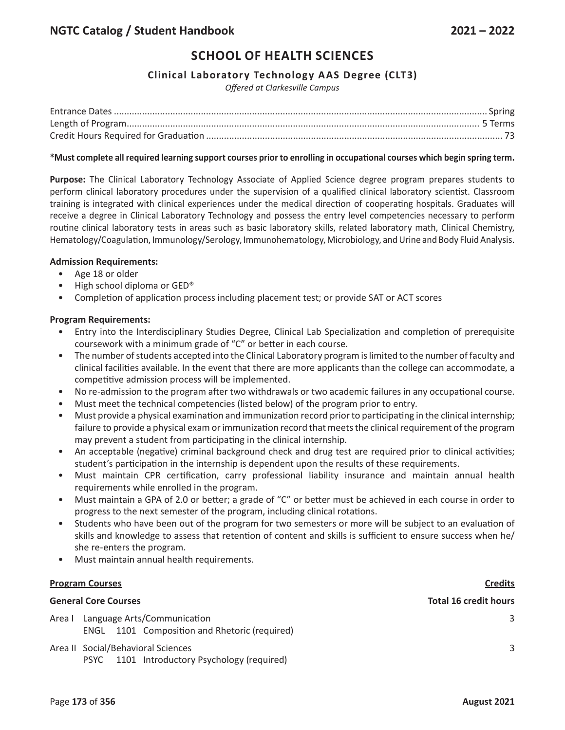# **SCHOOL OF HEALTH SCIENCES**

## **Clinical Laboratory Technology AAS Degree (CLT3)**

*Offered at Clarkesville Campus*

#### **\*Must complete all required learning support courses prior to enrolling in occupational courses which begin spring term.**

**Purpose:** The Clinical Laboratory Technology Associate of Applied Science degree program prepares students to perform clinical laboratory procedures under the supervision of a qualified clinical laboratory scientist. Classroom training is integrated with clinical experiences under the medical direction of cooperating hospitals. Graduates will receive a degree in Clinical Laboratory Technology and possess the entry level competencies necessary to perform routine clinical laboratory tests in areas such as basic laboratory skills, related laboratory math, Clinical Chemistry, Hematology/Coagulation, Immunology/Serology, Immunohematology, Microbiology, and Urine and Body Fluid Analysis.

## **Admission Requirements:**

- Age 18 or older
- High school diploma or GED®
- Completion of application process including placement test; or provide SAT or ACT scores

## **Program Requirements:**

- Entry into the Interdisciplinary Studies Degree, Clinical Lab Specialization and completion of prerequisite coursework with a minimum grade of "C" or better in each course.
- The number of students accepted into the Clinical Laboratory program is limited to the number of faculty and clinical facilities available. In the event that there are more applicants than the college can accommodate, a competitive admission process will be implemented.
- No re-admission to the program after two withdrawals or two academic failures in any occupational course.
- Must meet the technical competencies (listed below) of the program prior to entry.
- Must provide a physical examination and immunization record prior to participating in the clinical internship; failure to provide a physical exam or immunization record that meets the clinical requirement of the program may prevent a student from participating in the clinical internship.
- An acceptable (negative) criminal background check and drug test are required prior to clinical activities; student's participation in the internship is dependent upon the results of these requirements.
- Must maintain CPR certification, carry professional liability insurance and maintain annual health requirements while enrolled in the program.
- Must maintain a GPA of 2.0 or better; a grade of "C" or better must be achieved in each course in order to progress to the next semester of the program, including clinical rotations.
- Students who have been out of the program for two semesters or more will be subject to an evaluation of skills and knowledge to assess that retention of content and skills is sufficient to ensure success when he/ she re-enters the program.
- Must maintain annual health requirements.

#### **Program Courses Credits**

| <b>General Core Courses</b> | <b>Total 16 credit hours</b>                                                 |   |
|-----------------------------|------------------------------------------------------------------------------|---|
| Area I                      | Language Arts/Communication<br>ENGL 1101 Composition and Rhetoric (required) | 3 |
|                             | Area II Social/Behavioral Sciences                                           |   |
|                             | 1101 Introductory Psychology (required)<br><b>PSYC</b>                       |   |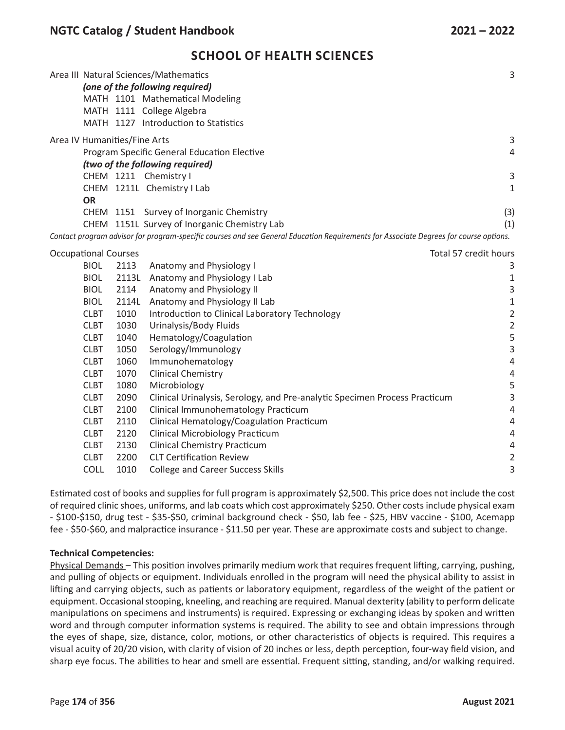## **SCHOOL OF HEALTH SCIENCES**

|                                                      |             |       | Area III Natural Sciences/Mathematics<br>(one of the following required)                                                              | 3                        |
|------------------------------------------------------|-------------|-------|---------------------------------------------------------------------------------------------------------------------------------------|--------------------------|
|                                                      |             |       | MATH 1101 Mathematical Modeling                                                                                                       |                          |
|                                                      |             |       | MATH 1111 College Algebra                                                                                                             |                          |
|                                                      |             |       | MATH 1127 Introduction to Statistics                                                                                                  |                          |
| Area IV Humanities/Fine Arts                         |             |       |                                                                                                                                       | 3                        |
|                                                      |             |       | Program Specific General Education Elective                                                                                           | $\sqrt{4}$               |
|                                                      |             |       | (two of the following required)                                                                                                       |                          |
|                                                      |             |       | CHEM 1211 Chemistry I                                                                                                                 | $\mathsf 3$              |
|                                                      |             |       | CHEM 1211L Chemistry I Lab                                                                                                            | $\mathbf{1}$             |
|                                                      | <b>OR</b>   |       |                                                                                                                                       |                          |
|                                                      |             |       | CHEM 1151 Survey of Inorganic Chemistry                                                                                               | (3)                      |
|                                                      |             |       | CHEM 1151L Survey of Inorganic Chemistry Lab                                                                                          | (1)                      |
|                                                      |             |       | Contact program advisor for program-specific courses and see General Education Requirements for Associate Degrees for course options. |                          |
| <b>Occupational Courses</b><br>Total 57 credit hours |             |       |                                                                                                                                       |                          |
|                                                      | <b>BIOL</b> | 2113  | Anatomy and Physiology I                                                                                                              | 3                        |
|                                                      | <b>BIOL</b> |       | 2113L Anatomy and Physiology I Lab                                                                                                    | $\mathbf 1$              |
|                                                      | <b>BIOL</b> | 2114  | Anatomy and Physiology II                                                                                                             | 3                        |
|                                                      | <b>BIOL</b> | 2114L | Anatomy and Physiology II Lab                                                                                                         | $\mathbf 1$              |
|                                                      | <b>CLBT</b> | 1010  | Introduction to Clinical Laboratory Technology                                                                                        | $\sqrt{2}$               |
|                                                      | <b>CLBT</b> | 1030  | Urinalysis/Body Fluids                                                                                                                | $\sqrt{2}$               |
|                                                      | <b>CLBT</b> | 1040  | Hematology/Coagulation                                                                                                                | 5                        |
|                                                      | <b>CLBT</b> | 1050  | Serology/Immunology                                                                                                                   | $\overline{3}$           |
|                                                      | <b>CLBT</b> | 1060  | Immunohematology                                                                                                                      | $\overline{4}$           |
|                                                      | <b>CLBT</b> | 1070  | <b>Clinical Chemistry</b>                                                                                                             | $\overline{4}$           |
|                                                      | <b>CLBT</b> | 1080  | Microbiology                                                                                                                          | 5                        |
|                                                      | <b>CLBT</b> | 2090  | Clinical Urinalysis, Serology, and Pre-analytic Specimen Process Practicum                                                            | $\overline{3}$           |
|                                                      | <b>CLBT</b> | 2100  | Clinical Immunohematology Practicum                                                                                                   | $\overline{4}$           |
|                                                      | <b>CLBT</b> | 2110  | Clinical Hematology/Coagulation Practicum                                                                                             | 4                        |
|                                                      | <b>CLBT</b> | 2120  | <b>Clinical Microbiology Practicum</b>                                                                                                | $\overline{4}$           |
|                                                      | <b>CLBT</b> | 2130  | <b>Clinical Chemistry Practicum</b>                                                                                                   | $\overline{\mathcal{A}}$ |
|                                                      | <b>CLBT</b> | 2200  | <b>CLT Certification Review</b>                                                                                                       | $\overline{2}$           |
|                                                      | <b>COLL</b> | 1010  | <b>College and Career Success Skills</b>                                                                                              | 3                        |

Estimated cost of books and supplies for full program is approximately \$2,500. This price does not include the cost of required clinic shoes, uniforms, and lab coats which cost approximately \$250. Other costs include physical exam - \$100-\$150, drug test - \$35-\$50, criminal background check - \$50, lab fee - \$25, HBV vaccine - \$100, Acemapp fee - \$50-\$60, and malpractice insurance - \$11.50 per year. These are approximate costs and subject to change.

## **Technical Competencies:**

Physical Demands – This position involves primarily medium work that requires frequent lifting, carrying, pushing, and pulling of objects or equipment. Individuals enrolled in the program will need the physical ability to assist in lifting and carrying objects, such as patients or laboratory equipment, regardless of the weight of the patient or equipment. Occasional stooping, kneeling, and reaching are required. Manual dexterity (ability to perform delicate manipulations on specimens and instruments) is required. Expressing or exchanging ideas by spoken and written word and through computer information systems is required. The ability to see and obtain impressions through the eyes of shape, size, distance, color, motions, or other characteristics of objects is required. This requires a visual acuity of 20/20 vision, with clarity of vision of 20 inches or less, depth perception, four-way field vision, and sharp eye focus. The abilities to hear and smell are essential. Frequent sitting, standing, and/or walking required.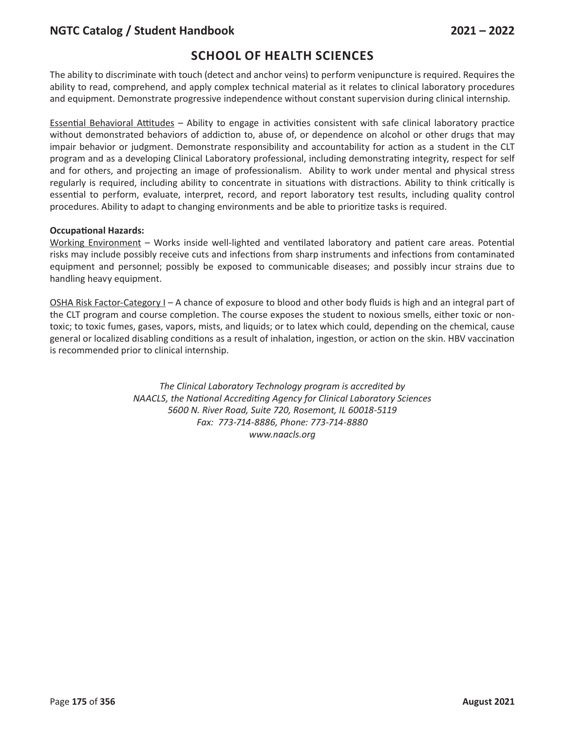## **NGTC Catalog / Student Handbook 2021 – 2022**

# **SCHOOL OF HEALTH SCIENCES**

The ability to discriminate with touch (detect and anchor veins) to perform venipuncture is required. Requires the ability to read, comprehend, and apply complex technical material as it relates to clinical laboratory procedures and equipment. Demonstrate progressive independence without constant supervision during clinical internship.

Essential Behavioral Attitudes – Ability to engage in activities consistent with safe clinical laboratory practice without demonstrated behaviors of addiction to, abuse of, or dependence on alcohol or other drugs that may impair behavior or judgment. Demonstrate responsibility and accountability for action as a student in the CLT program and as a developing Clinical Laboratory professional, including demonstrating integrity, respect for self and for others, and projecting an image of professionalism. Ability to work under mental and physical stress regularly is required, including ability to concentrate in situations with distractions. Ability to think critically is essential to perform, evaluate, interpret, record, and report laboratory test results, including quality control procedures. Ability to adapt to changing environments and be able to prioritize tasks is required.

## **Occupational Hazards:**

Working Environment – Works inside well-lighted and ventilated laboratory and patient care areas. Potential risks may include possibly receive cuts and infections from sharp instruments and infections from contaminated equipment and personnel; possibly be exposed to communicable diseases; and possibly incur strains due to handling heavy equipment.

OSHA Risk Factor-Category I – A chance of exposure to blood and other body fluids is high and an integral part of the CLT program and course completion. The course exposes the student to noxious smells, either toxic or nontoxic; to toxic fumes, gases, vapors, mists, and liquids; or to latex which could, depending on the chemical, cause general or localized disabling conditions as a result of inhalation, ingestion, or action on the skin. HBV vaccination is recommended prior to clinical internship.

> *The Clinical Laboratory Technology program is accredited by NAACLS, the National Accrediting Agency for Clinical Laboratory Sciences 5600 N. River Road, Suite 720, Rosemont, IL 60018-5119 Fax: 773-714-8886, Phone: 773-714-8880 www.naacls.org*